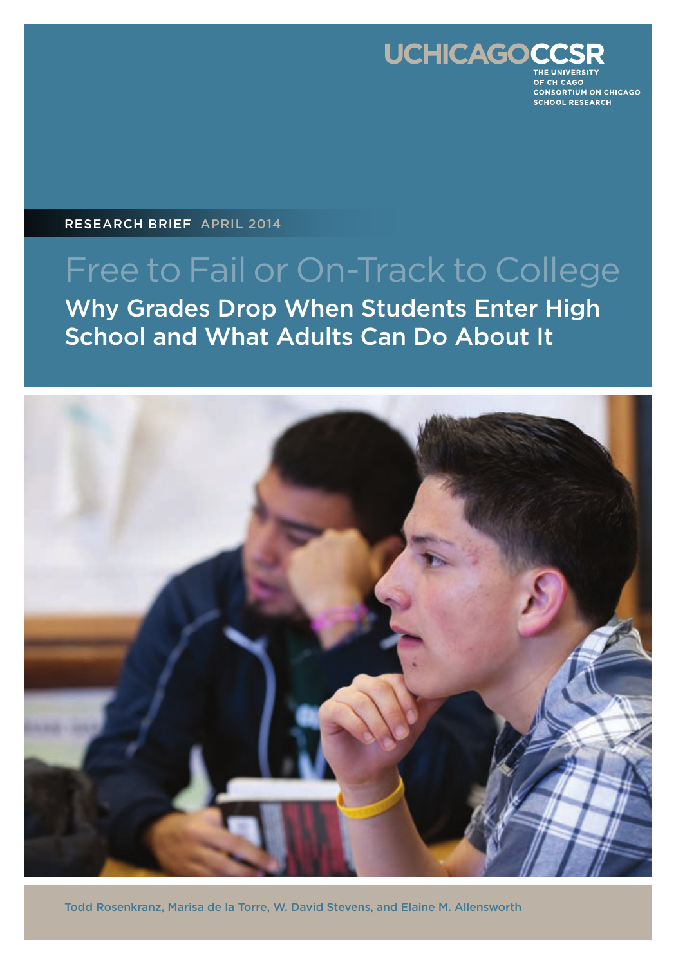

**OF CHICAGO** CONSORTIUM ON CHICAGO **SCHOOL RESEARCH** 

RESEARCH BRIEF APRIL 2014

# Free to Fail or On-Track to College Why Grades Drop When Students Enter High School and What Adults Can Do About It



Todd Rosenkranz, Marisa de la Torre, W. David Stevens, and Elaine M. Allensworth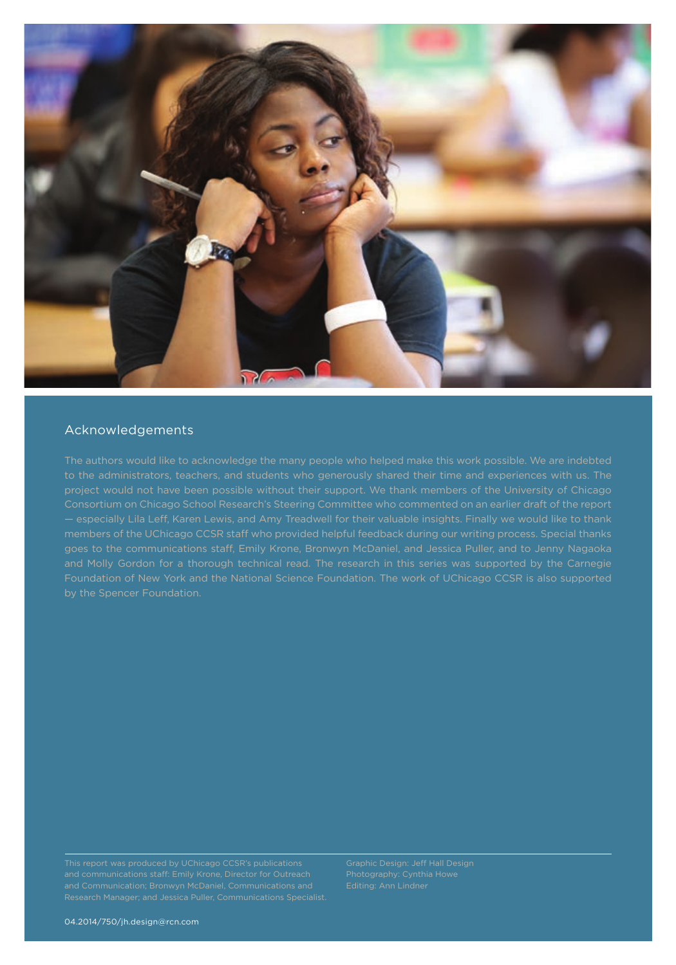

### Acknowledgements

The authors would like to acknowledge the many people who helped make this work possible. We are indebted project would not have been possible without their support. We thank members of the University of Chicago Consortium on Chicago School Research's Steering Committee who commented on an earlier draft of the report members of the UChicago CCSR staff who provided helpful feedback during our writing process. Special thanks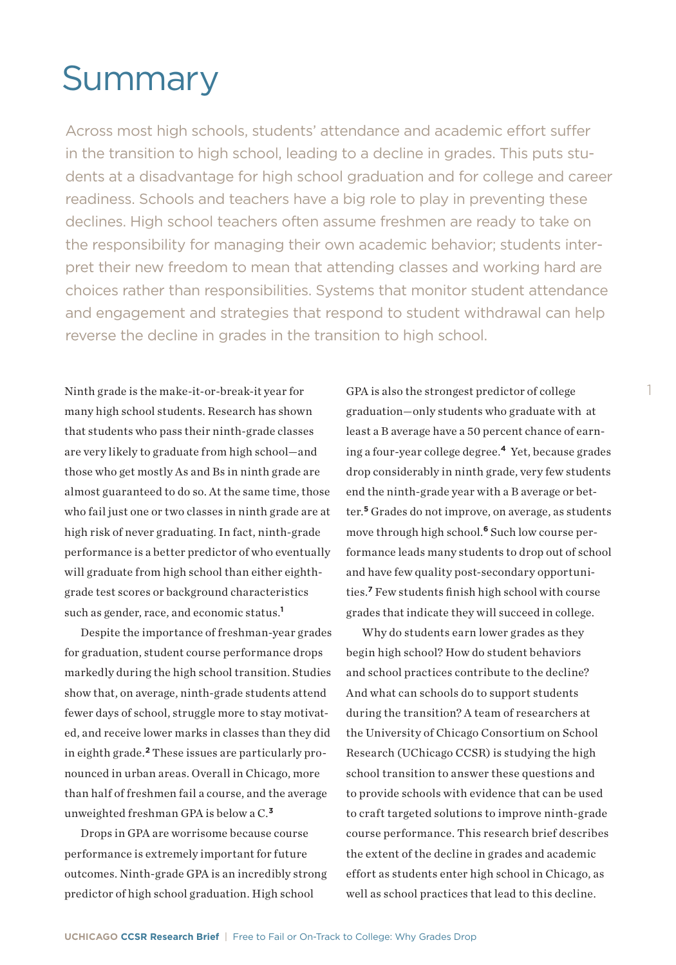# **Summary**

Across most high schools, students' attendance and academic effort suffer in the transition to high school, leading to a decline in grades. This puts students at a disadvantage for high school graduation and for college and career readiness. Schools and teachers have a big role to play in preventing these declines. High school teachers often assume freshmen are ready to take on the responsibility for managing their own academic behavior; students interpret their new freedom to mean that attending classes and working hard are choices rather than responsibilities. Systems that monitor student attendance and engagement and strategies that respond to student withdrawal can help reverse the decline in grades in the transition to high school.

Ninth grade is the make-it-or-break-it year for many high school students. Research has shown that students who pass their ninth-grade classes are very likely to graduate from high school—and those who get mostly As and Bs in ninth grade are almost guaranteed to do so. At the same time, those who fail just one or two classes in ninth grade are at high risk of never graduating. In fact, ninth-grade performance is a better predictor of who eventually will graduate from high school than either eighthgrade test scores or background characteristics such as gender, race, and economic status.**<sup>1</sup>**

Despite the importance of freshman-year grades for graduation, student course performance drops markedly during the high school transition. Studies show that, on average, ninth-grade students attend fewer days of school, struggle more to stay motivated, and receive lower marks in classes than they did in eighth grade.**2** These issues are particularly pronounced in urban areas. Overall in Chicago, more than half of freshmen fail a course, and the average unweighted freshman GPA is below a C.**<sup>3</sup>**

Drops in GPA are worrisome because course performance is extremely important for future outcomes. Ninth-grade GPA is an incredibly strong predictor of high school graduation. High school

GPA is also the strongest predictor of college graduation—only students who graduate with at least a B average have a 50 percent chance of earning a four-year college degree.**<sup>4</sup>**Yet, because grades drop considerably in ninth grade, very few students end the ninth-grade year with a B average or better.**<sup>5</sup>**Grades do not improve, on average, as students move through high school.**6** Such low course performance leads many students to drop out of school and have few quality post-secondary opportunities.**<sup>7</sup>** Few students finish high school with course grades that indicate they will succeed in college.

Why do students earn lower grades as they begin high school? How do student behaviors and school practices contribute to the decline? And what can schools do to support students during the transition? A team of researchers at the University of Chicago Consortium on School Research (UChicago CCSR) is studying the high school transition to answer these questions and to provide schools with evidence that can be used to craft targeted solutions to improve ninth-grade course performance. This research brief describes the extent of the decline in grades and academic effort as students enter high school in Chicago, as well as school practices that lead to this decline.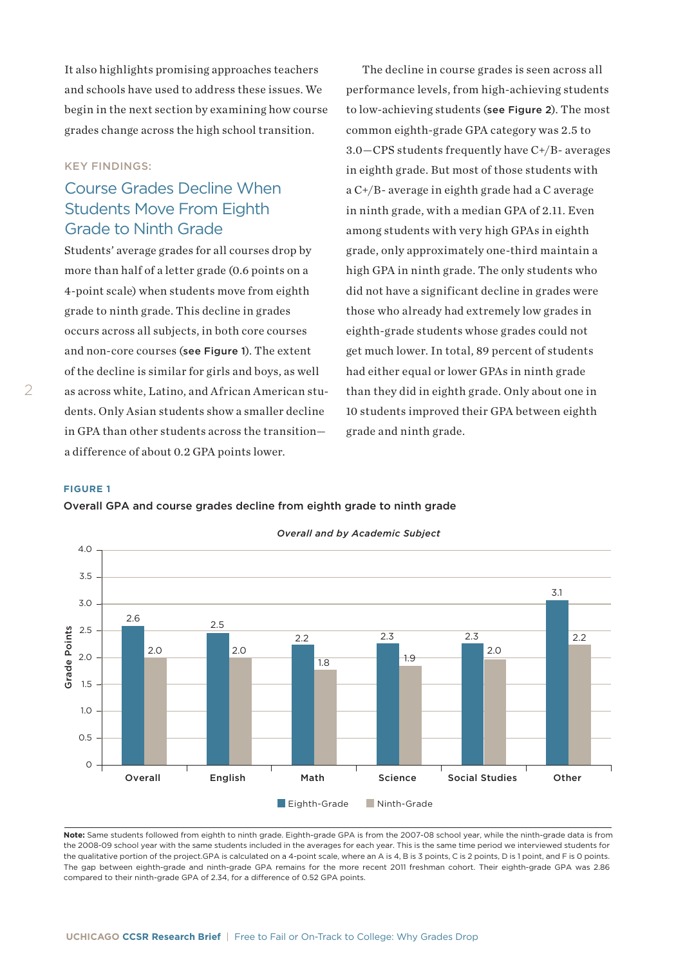It also highlights promising approaches teachers and schools have used to address these issues. We begin in the next section by examining how course grades change across the high school transition.

#### KEY FINDINGS:

# Course Grades Decline When Students Move From Eighth Grade to Ninth Grade

Students' average grades for all courses drop by more than half of a letter grade (0.6 points on a 4-point scale) when students move from eighth grade to ninth grade. This decline in grades occurs across all subjects, in both core courses and non-core courses (see Figure 1). The extent of the decline is similar for girls and boys, as well as across white, Latino, and African American students. Only Asian students show a smaller decline in GPA than other students across the transition a difference of about 0.2 GPA points lower.

The decline in course grades is seen across all performance levels, from high-achieving students to low-achieving students (see Figure 2). The most common eighth-grade GPA category was 2.5 to 3.0—CPS students frequently have C+/B- averages in eighth grade. But most of those students with a C+/B- average in eighth grade had a C average in ninth grade, with a median GPA of 2.11. Even among students with very high GPAs in eighth grade, only approximately one-third maintain a high GPA in ninth grade. The only students who did not have a significant decline in grades were those who already had extremely low grades in eighth-grade students whose grades could not get much lower. In total, 89 percent of students had either equal or lower GPAs in ninth grade than they did in eighth grade. Only about one in 10 students improved their GPA between eighth grade and ninth grade.

#### **FIGURE 1**

 $\mathcal{P}$ 

#### Overall GPA and course grades decline from eighth grade to ninth grade



*Overall and by Academic Subject*

Note: Same students followed from eighth to ninth grade. Eighth-grade GPA is from the 2007-08 school year, while the ninth-grade data is from the 2008-09 school year with the same students included in the averages for each year. This is the same time period we interviewed students for the qualitative portion of the project.GPA is calculated on a 4-point scale, where an A is 4, B is 3 points, C is 2 points, D is 1 point, and F is 0 points. The gap between eighth-grade and ninth-grade GPA remains for the more recent 2011 freshman cohort. Their eighth-grade GPA was 2.86 compared to their ninth-grade GPA of 2.34, for a difference of 0.52 GPA points.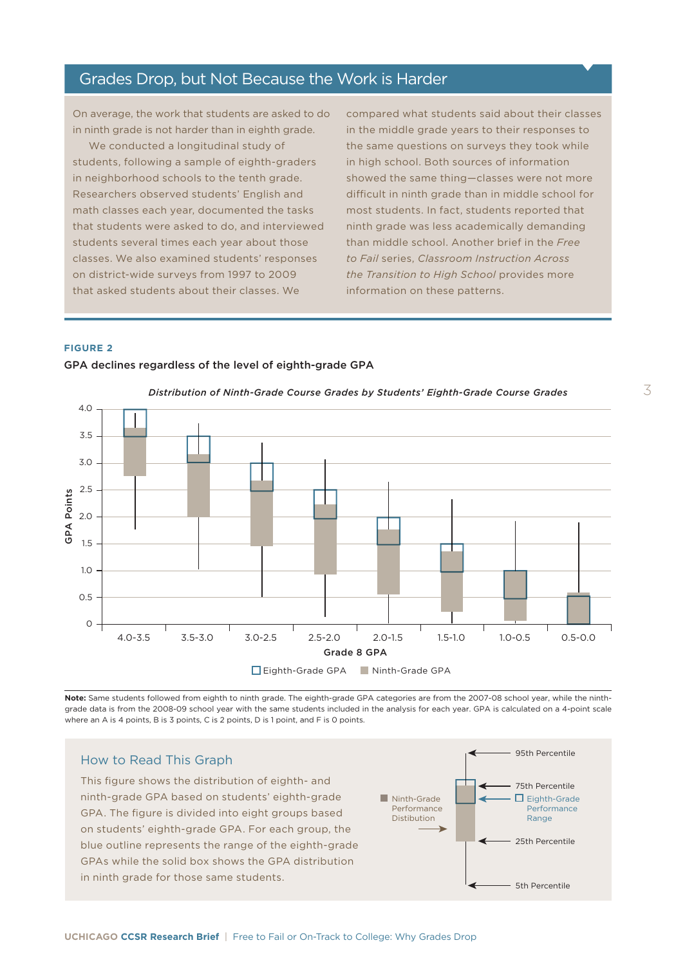## Grades Drop, but Not Because the Work is Harder

On average, the work that students are asked to do in ninth grade is not harder than in eighth grade.

We conducted a longitudinal study of students, following a sample of eighth-graders in neighborhood schools to the tenth grade. Researchers observed students' English and math classes each year, documented the tasks that students were asked to do, and interviewed students several times each year about those classes. We also examined students' responses on district-wide surveys from 1997 to 2009 that asked students about their classes. We

GPA declines regardless of the level of eighth-grade GPA

compared what students said about their classes in the middle grade years to their responses to the same questions on surveys they took while in high school. Both sources of information showed the same thing—classes were not more difficult in ninth grade than in middle school for most students. In fact, students reported that ninth grade was less academically demanding than middle school. Another brief in the *Free to Fail* series, *Classroom Instruction Across the Transition to High School* provides more information on these patterns.

#### **FIGURE 2**



**Note:** Same students followed from eighth to ninth grade. The eighth-grade GPA categories are from the 2007-08 school year, while the ninthgrade data is from the 2008-09 school year with the same students included in the analysis for each year. GPA is calculated on a 4-point scale where an A is 4 points, B is 3 points, C is 2 points, D is 1 point, and F is 0 points.

#### How to Read This Graph

This figure shows the distribution of eighth- and ninth-grade GPA based on students' eighth-grade GPA. The figure is divided into eight groups based on students' eighth-grade GPA. For each group, the students' eighth-grade GPA. For each group, the blue outline represents the represents the students and a blue outline represents the range of the eighth-grade GPAs while the solid box shows the GPA distribution in ninth grade for those same students.

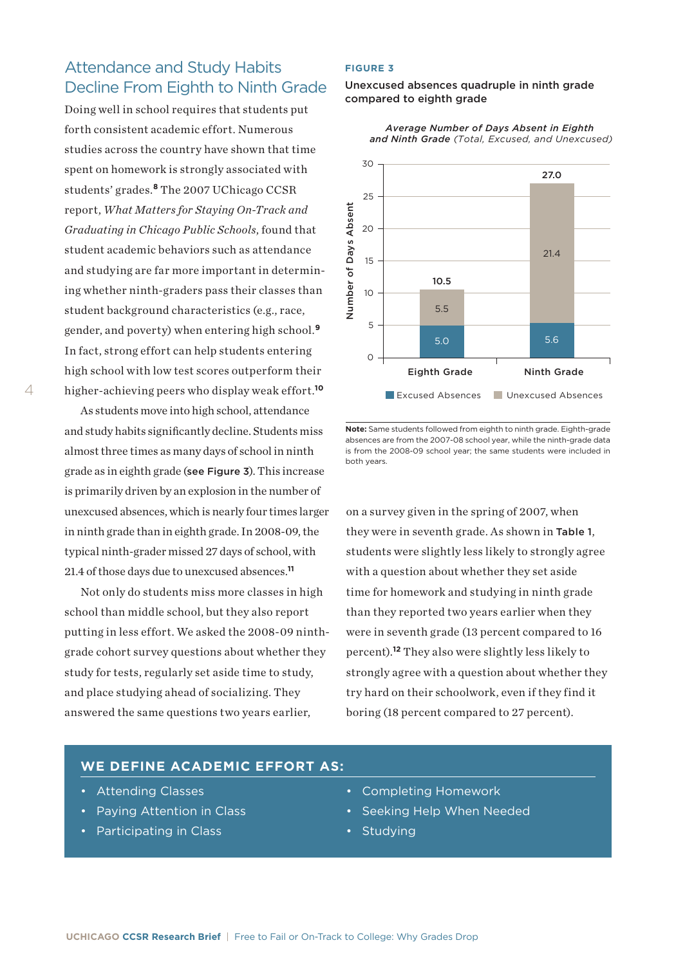# Attendance and Study Habits Decline From Eighth to Ninth Grade

Doing well in school requires that students put forth consistent academic effort. Numerous studies across the country have shown that time spent on homework is strongly associated with students' grades.**<sup>8</sup>** The 2007 UChicago CCSR report, *What Matters for Staying On-Track and Graduating in Chicago Public Schools*, found that student academic behaviors such as attendance and studying are far more important in determining whether ninth-graders pass their classes than student background characteristics (e.g., race, gender, and poverty) when entering high school.**<sup>9</sup>** In fact, strong effort can help students entering high school with low test scores outperform their higher-achieving peers who display weak effort.**<sup>10</sup>**

As students move into high school, attendance and study habits significantly decline. Students miss almost three times as many days of school in ninth grade as in eighth grade (see Figure 3). This increase is primarily driven by an explosion in the number of unexcused absences, which is nearly four times larger in ninth grade than in eighth grade. In 2008-09, the typical ninth-grader missed 27 days of school, with 21.4 of those days due to unexcused absences.**<sup>11</sup>**

Not only do students miss more classes in high school than middle school, but they also report putting in less effort. We asked the 2008-09 ninthgrade cohort survey questions about whether they study for tests, regularly set aside time to study, and place studying ahead of socializing. They answered the same questions two years earlier,

#### **FIGURE 3**

#### Unexcused absences quadruple in ninth grade compared to eighth grade



*Average Number of Days Absent in Eighth and Ninth Grade (Total, Excused, and Unexcused)*

on a survey given in the spring of 2007, when they were in seventh grade. As shown in Table 1, students were slightly less likely to strongly agree with a question about whether they set aside time for homework and studying in ninth grade than they reported two years earlier when they were in seventh grade (13 percent compared to 16 percent).**<sup>12</sup>** They also were slightly less likely to strongly agree with a question about whether they try hard on their schoolwork, even if they find it boring (18 percent compared to 27 percent).

#### **WE DEFINE ACADEMIC EFFORT AS:**

- Attending Classes
- Paying Attention in Class
- Participating in Class
- Completing Homework
- Seeking Help When Needed
- Studying

**Note:** Same students followed from eighth to ninth grade. Eighth-grade absences are from the 2007-08 school year, while the ninth-grade data is from the 2008-09 school year; the same students were included in both years.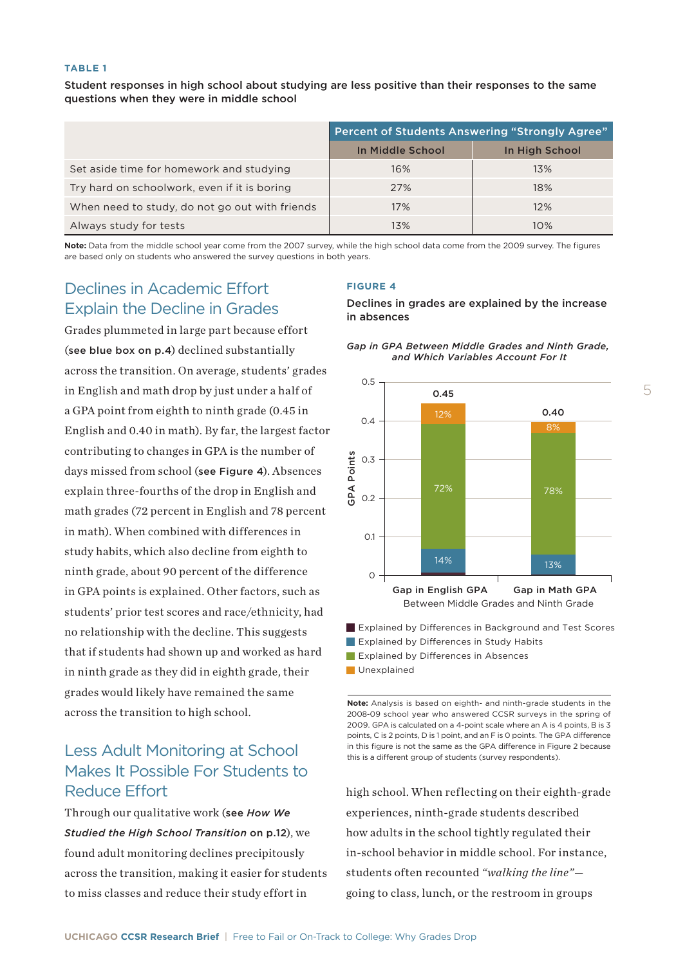#### **TABLE 1**

Student responses in high school about studying are less positive than their responses to the same questions when they were in middle school

|                                                | <b>Percent of Students Answering "Strongly Agree"</b> |                |
|------------------------------------------------|-------------------------------------------------------|----------------|
|                                                | In Middle School                                      | In High School |
| Set aside time for homework and studying       | 16%                                                   | 13%            |
| Try hard on schoolwork, even if it is boring   | 27%                                                   | 18%            |
| When need to study, do not go out with friends | 17%                                                   | 12%            |
| Always study for tests                         | 13%                                                   | 10%            |

**Note:** Data from the middle school year come from the 2007 survey, while the high school data come from the 2009 survey. The figures are based only on students who answered the survey questions in both years.

# Declines in Academic Effort Explain the Decline in Grades

Grades plummeted in large part because effort (see blue box on p.4) declined substantially across the transition. On average, students' grades in English and math drop by just under a half of a GPA point from eighth to ninth grade (0.45 in English and 0.40 in math). By far, the largest factor contributing to changes in GPA is the number of days missed from school (see Figure 4). Absences explain three-fourths of the drop in English and math grades (72 percent in English and 78 percent in math). When combined with differences in study habits, which also decline from eighth to ninth grade, about 90 percent of the difference in GPA points is explained. Other factors, such as students' prior test scores and race/ethnicity, had no relationship with the decline. This suggests that if students had shown up and worked as hard in ninth grade as they did in eighth grade, their grades would likely have remained the same across the transition to high school.

# Less Adult Monitoring at School Makes It Possible For Students to Reduce Effort

Through our qualitative work (see *How We Studied the High School Transition* on p.12), we found adult monitoring declines precipitously across the transition, making it easier for students to miss classes and reduce their study effort in

#### **FIGURE 4**

Declines in grades are explained by the increase in absences





**Explained by Differences in Background and Test Scores** 

- **Explained by Differences in Study Habits**
- $\blacksquare$  Explained by Differences in Absences

**Unexplained** 

**Note:** Analysis is based on eighth- and ninth-grade students in the 2008-09 school year who answered CCSR surveys in the spring of 2009. GPA is calculated on a 4-point scale where an A is 4 points, B is 3 points, C is 2 points, D is 1 point, and an F is 0 points. The GPA difference in this figure is not the same as the GPA difference in Figure 2 because this is a different group of students (survey respondents).

high school. When reflecting on their eighth-grade experiences, ninth-grade students described how adults in the school tightly regulated their in-school behavior in middle school. For instance, students often recounted *"walking the line"*—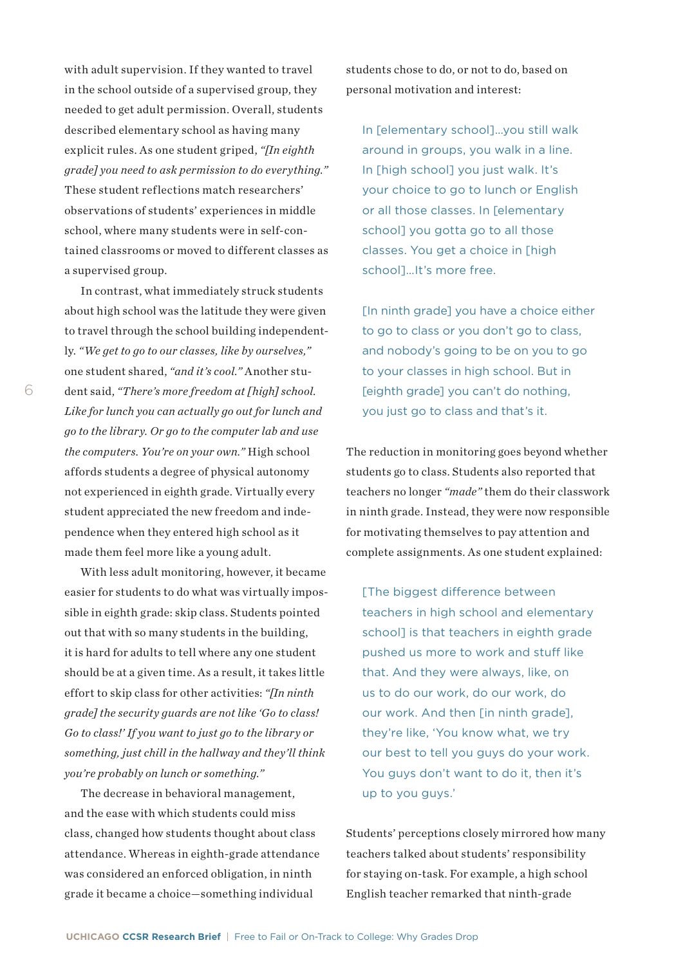with adult supervision. If they wanted to travel in the school outside of a supervised group, they needed to get adult permission. Overall, students described elementary school as having many explicit rules. As one student griped, *"[In eighth grade] you need to ask permission to do everything."* These student reflections match researchers' observations of students' experiences in middle school, where many students were in self-contained classrooms or moved to different classes as a supervised group.

In contrast, what immediately struck students about high school was the latitude they were given to travel through the school building independently. *"We get to go to our classes, like by ourselves,"* one student shared, *"and it's cool."* Another student said, *"There's more freedom at [high] school. Like for lunch you can actually go out for lunch and go to the library. Or go to the computer lab and use the computers. You're on your own."* High school affords students a degree of physical autonomy not experienced in eighth grade. Virtually every student appreciated the new freedom and independence when they entered high school as it made them feel more like a young adult.

With less adult monitoring, however, it became easier for students to do what was virtually impossible in eighth grade: skip class. Students pointed out that with so many students in the building, it is hard for adults to tell where any one student should be at a given time. As a result, it takes little effort to skip class for other activities: *"[In ninth grade] the security guards are not like 'Go to class! Go to class!' If you want to just go to the library or something, just chill in the hallway and they'll think you're probably on lunch or something."*

The decrease in behavioral management, and the ease with which students could miss class, changed how students thought about class attendance. Whereas in eighth-grade attendance was considered an enforced obligation, in ninth grade it became a choice—something individual

students chose to do, or not to do, based on personal motivation and interest:

In [elementary school]…you still walk around in groups, you walk in a line. In [high school] you just walk. It's your choice to go to lunch or English or all those classes. In [elementary school] you gotta go to all those classes. You get a choice in [high school]…It's more free.

[In ninth grade] you have a choice either to go to class or you don't go to class, and nobody's going to be on you to go to your classes in high school. But in [eighth grade] you can't do nothing, you just go to class and that's it.

The reduction in monitoring goes beyond whether students go to class. Students also reported that teachers no longer *"made"* them do their classwork in ninth grade. Instead, they were now responsible for motivating themselves to pay attention and complete assignments. As one student explained:

[The biggest difference between teachers in high school and elementary school] is that teachers in eighth grade pushed us more to work and stuff like that. And they were always, like, on us to do our work, do our work, do our work. And then [in ninth grade], they're like, 'You know what, we try our best to tell you guys do your work. You guys don't want to do it, then it's up to you guys.'

Students' perceptions closely mirrored how many teachers talked about students' responsibility for staying on-task. For example, a high school English teacher remarked that ninth-grade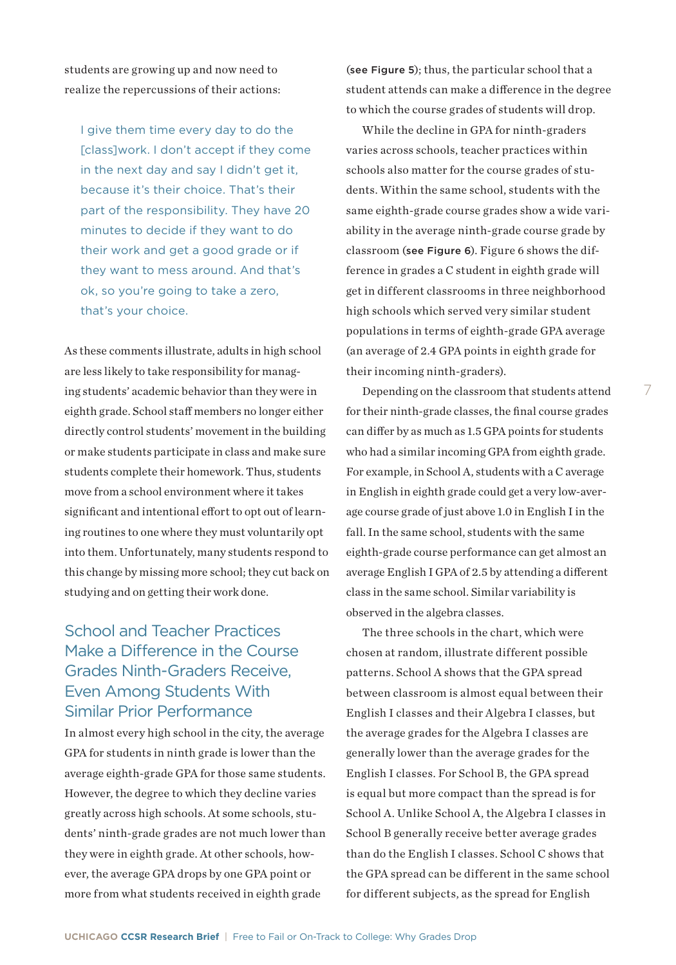students are growing up and now need to realize the repercussions of their actions:

I give them time every day to do the [class] work. I don't accept if they come in the next day and say I didn't get it, because it's their choice. That's their part of the responsibility. They have 20 minutes to decide if they want to do their work and get a good grade or if they want to mess around. And that's ok, so you're going to take a zero, that's your choice.

As these comments illustrate, adults in high school are less likely to take responsibility for managing students' academic behavior than they were in eighth grade. School staff members no longer either directly control students' movement in the building or make students participate in class and make sure students complete their homework. Thus, students move from a school environment where it takes significant and intentional effort to opt out of learning routines to one where they must voluntarily opt into them. Unfortunately, many students respond to this change by missing more school; they cut back on studying and on getting their work done.

# School and Teacher Practices Make a Difference in the Course Grades Ninth-Graders Receive, Even Among Students With Similar Prior Performance

In almost every high school in the city, the average GPA for students in ninth grade is lower than the average eighth-grade GPA for those same students. However, the degree to which they decline varies greatly across high schools. At some schools, students' ninth-grade grades are not much lower than they were in eighth grade. At other schools, however, the average GPA drops by one GPA point or more from what students received in eighth grade

(see Figure 5); thus, the particular school that a student attends can make a difference in the degree to which the course grades of students will drop.

While the decline in GPA for ninth-graders varies across schools, teacher practices within schools also matter for the course grades of students. Within the same school, students with the same eighth-grade course grades show a wide variability in the average ninth-grade course grade by classroom (see Figure 6). Figure 6 shows the difference in grades a C student in eighth grade will get in different classrooms in three neighborhood high schools which served very similar student populations in terms of eighth-grade GPA average (an average of 2.4 GPA points in eighth grade for their incoming ninth-graders).

Depending on the classroom that students attend for their ninth-grade classes, the final course grades can differ by as much as 1.5 GPA points for students who had a similar incoming GPA from eighth grade. For example, in School A, students with a C average in English in eighth grade could get a very low-average course grade of just above 1.0 in English I in the fall. In the same school, students with the same eighth-grade course performance can get almost an average English I GPA of 2.5 by attending a different class in the same school. Similar variability is observed in the algebra classes.

The three schools in the chart, which were chosen at random, illustrate different possible patterns. School A shows that the GPA spread between classroom is almost equal between their English I classes and their Algebra I classes, but the average grades for the Algebra I classes are generally lower than the average grades for the English I classes. For School B, the GPA spread is equal but more compact than the spread is for School A. Unlike School A, the Algebra I classes in School B generally receive better average grades than do the English I classes. School C shows that the GPA spread can be different in the same school for different subjects, as the spread for English

**UCHICAGO CCSR Research Brief** | Free to Fail or On-Track to College: Why Grades Drop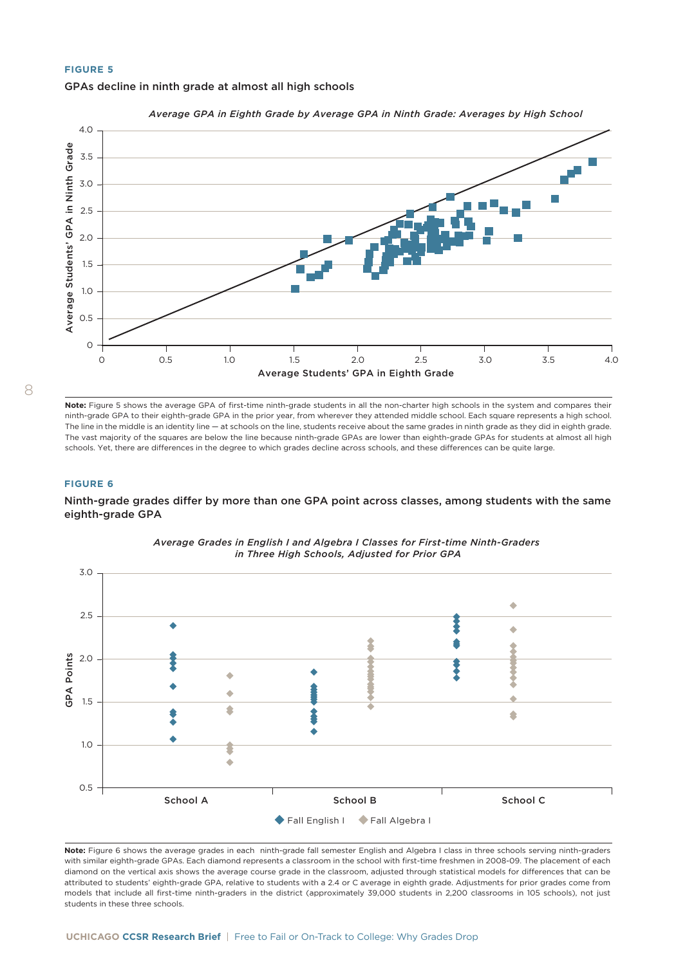#### **FIGURE 5**





*Average GPA in Eighth Grade by Average GPA in Ninth Grade: Averages by High School*

8

**Note:** Figure 5 shows the average GPA of first-time ninth-grade students in all the non-charter high schools in the system and compares their ninth-grade GPA to their eighth-grade GPA in the prior year, from wherever they attended middle school. Each square represents a high school. The line in the middle is an identity line — at schools on the line, students receive about the same grades in ninth grade as they did in eighth grade. The vast majority of the squares are below the line because ninth-grade GPAs are lower than eighth-grade GPAs for students at almost all high schools. Yet, there are differences in the degree to which grades decline across schools, and these differences can be quite large.

#### **FIGURE 6**

Ninth-grade grades differ by more than one GPA point across classes, among students with the same eighth-grade GPA



*Average Grades in English I and Algebra I Classes for First-time Ninth-Graders in Three High Schools, Adjusted for Prior GPA*

**Note:** Figure 6 shows the average grades in each ninth-grade fall semester English and Algebra I class in three schools serving ninth-graders with similar eighth-grade GPAs. Each diamond represents a classroom in the school with first-time freshmen in 2008-09. The placement of each diamond on the vertical axis shows the average course grade in the classroom, adjusted through statistical models for differences that can be attributed to students' eighth-grade GPA, relative to students with a 2.4 or C average in eighth grade. Adjustments for prior grades come from models that include all first-time ninth-graders in the district (approximately 39,000 students in 2,200 classrooms in 105 schools), not just students in these three schools.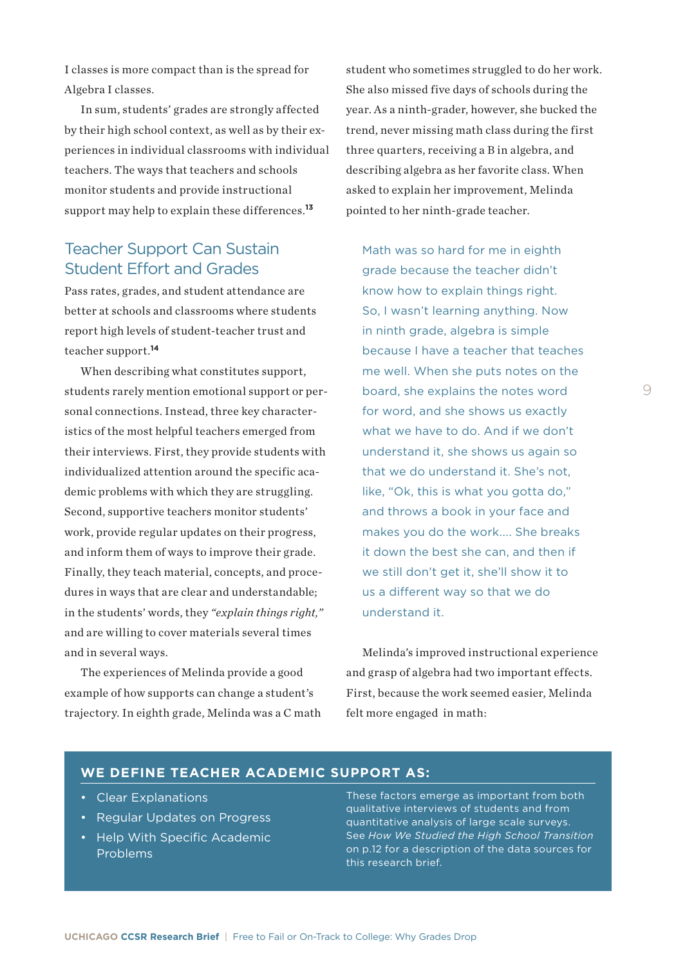I classes is more compact than is the spread for Algebra I classes.

In sum, students' grades are strongly affected by their high school context, as well as by their experiences in individual classrooms with individual teachers. The ways that teachers and schools monitor students and provide instructional support may help to explain these differences.**<sup>13</sup>**

## Teacher Support Can Sustain Student Effort and Grades

Pass rates, grades, and student attendance are better at schools and classrooms where students report high levels of student-teacher trust and teacher support.**<sup>14</sup>**

When describing what constitutes support, students rarely mention emotional support or personal connections. Instead, three key characteristics of the most helpful teachers emerged from their interviews. First, they provide students with individualized attention around the specific academic problems with which they are struggling. Second, supportive teachers monitor students' work, provide regular updates on their progress, and inform them of ways to improve their grade. Finally, they teach material, concepts, and procedures in ways that are clear and understandable; in the students' words, they *"explain things right,"* and are willing to cover materials several times and in several ways.

The experiences of Melinda provide a good example of how supports can change a student's trajectory. In eighth grade, Melinda was a C math

student who sometimes struggled to do her work. She also missed five days of schools during the year. As a ninth-grader, however, she bucked the trend, never missing math class during the first three quarters, receiving a B in algebra, and describing algebra as her favorite class. When asked to explain her improvement, Melinda pointed to her ninth-grade teacher.

Math was so hard for me in eighth grade because the teacher didn't know how to explain things right. So, I wasn't learning anything. Now in ninth grade, algebra is simple because I have a teacher that teaches me well. When she puts notes on the board, she explains the notes word for word, and she shows us exactly what we have to do. And if we don't understand it, she shows us again so that we do understand it. She's not, like, "Ok, this is what you gotta do," and throws a book in your face and makes you do the work.... She breaks it down the best she can, and then if we still don't get it, she'll show it to us a different way so that we do understand it.

Melinda's improved instructional experience and grasp of algebra had two important effects. First, because the work seemed easier, Melinda felt more engaged in math:

#### **WE DEFINE TEACHER ACADEMIC SUPPORT AS:**

- Clear Explanations
- Regular Updates on Progress
- Help With Specific Academic Problems

These factors emerge as important from both qualitative interviews of students and from quantitative analysis of large scale surveys. See *How We Studied the High School Transition* on p.12 for a description of the data sources for this research brief.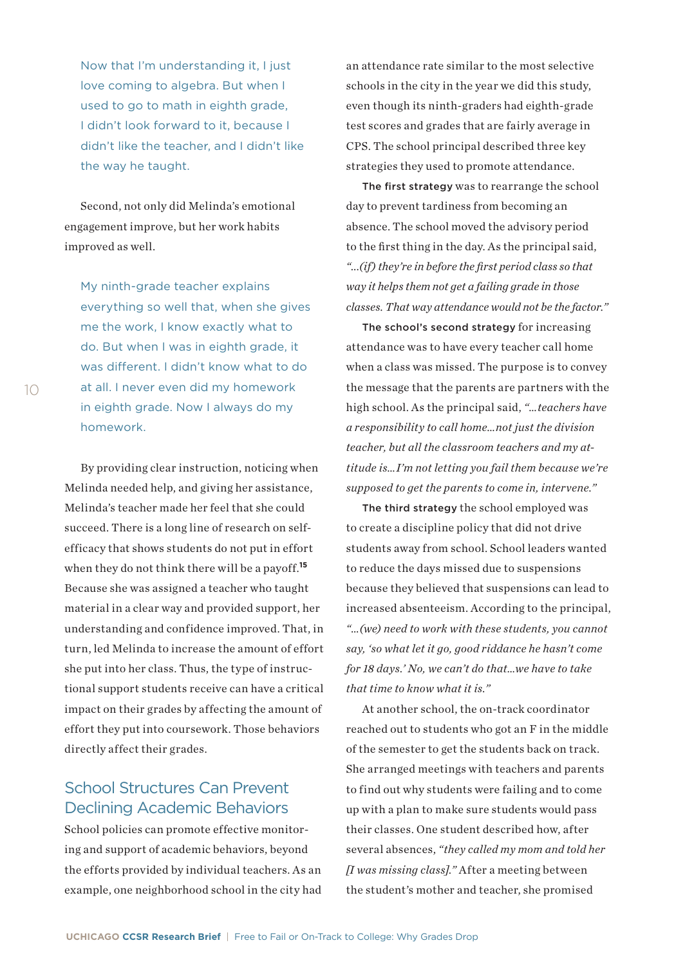Now that I'm understanding it, I just love coming to algebra. But when I used to go to math in eighth grade, I didn't look forward to it, because I didn't like the teacher, and I didn't like the way he taught.

Second, not only did Melinda's emotional engagement improve, but her work habits improved as well.

My ninth-grade teacher explains everything so well that, when she gives me the work, I know exactly what to do. But when I was in eighth grade, it was different. I didn't know what to do at all. I never even did my homework in eighth grade. Now I always do my homework.

By providing clear instruction, noticing when Melinda needed help, and giving her assistance, Melinda's teacher made her feel that she could succeed. There is a long line of research on selfefficacy that shows students do not put in effort when they do not think there will be a payoff.**<sup>15</sup>** Because she was assigned a teacher who taught material in a clear way and provided support, her understanding and confidence improved. That, in turn, led Melinda to increase the amount of effort she put into her class. Thus, the type of instructional support students receive can have a critical impact on their grades by affecting the amount of effort they put into coursework. Those behaviors directly affect their grades.

## School Structures Can Prevent Declining Academic Behaviors

School policies can promote effective monitoring and support of academic behaviors, beyond the efforts provided by individual teachers. As an example, one neighborhood school in the city had

an attendance rate similar to the most selective schools in the city in the year we did this study, even though its ninth-graders had eighth-grade test scores and grades that are fairly average in CPS. The school principal described three key strategies they used to promote attendance.

The first strategy was to rearrange the school day to prevent tardiness from becoming an absence. The school moved the advisory period to the first thing in the day. As the principal said, *"...(if) they're in before the first period class so that way it helps them not get a failing grade in those classes. That way attendance would not be the factor."* 

The school's second strategy for increasing attendance was to have every teacher call home when a class was missed. The purpose is to convey the message that the parents are partners with the high school. As the principal said, *"…teachers have a responsibility to call home…not just the division teacher, but all the classroom teachers and my attitude is…I'm not letting you fail them because we're supposed to get the parents to come in, intervene."*

The third strategy the school employed was to create a discipline policy that did not drive students away from school. School leaders wanted to reduce the days missed due to suspensions because they believed that suspensions can lead to increased absenteeism. According to the principal, *"…(we) need to work with these students, you cannot say, 'so what let it go, good riddance he hasn't come for 18 days.' No, we can't do that…we have to take that time to know what it is."*

At another school, the on-track coordinator reached out to students who got an F in the middle of the semester to get the students back on track. She arranged meetings with teachers and parents to find out why students were failing and to come up with a plan to make sure students would pass their classes. One student described how, after several absences, *"they called my mom and told her [I was missing class]."* After a meeting between the student's mother and teacher, she promised

10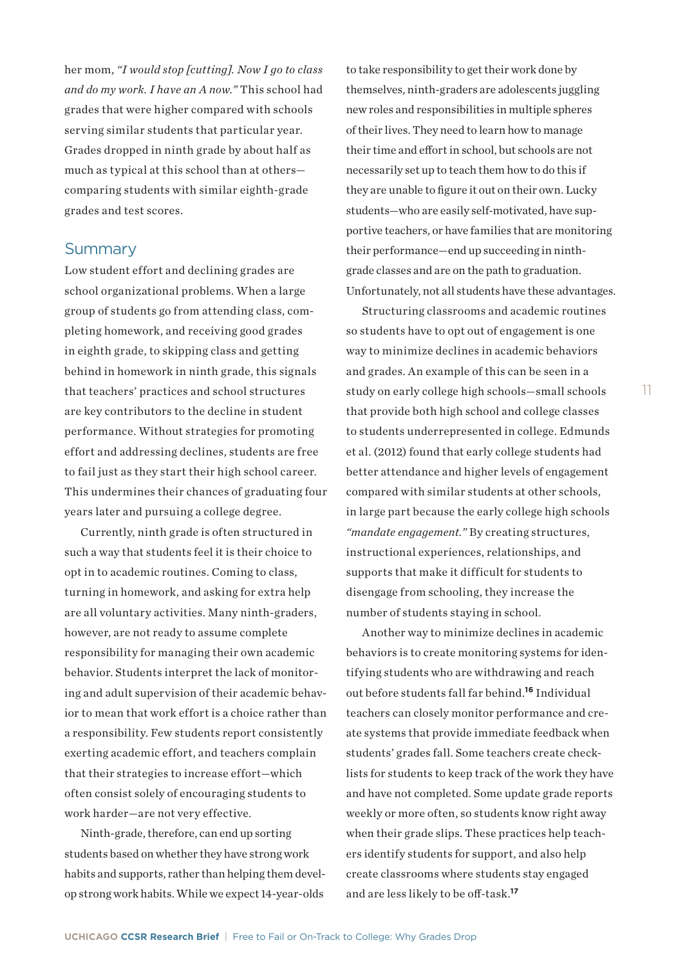her mom, *"I would stop [cutting]. Now I go to class and do my work. I have an A now."* This school had grades that were higher compared with schools serving similar students that particular year. Grades dropped in ninth grade by about half as much as typical at this school than at others comparing students with similar eighth-grade grades and test scores.

## **Summary**

Low student effort and declining grades are school organizational problems. When a large group of students go from attending class, completing homework, and receiving good grades in eighth grade, to skipping class and getting behind in homework in ninth grade, this signals that teachers' practices and school structures are key contributors to the decline in student performance. Without strategies for promoting effort and addressing declines, students are free to fail just as they start their high school career. This undermines their chances of graduating four years later and pursuing a college degree.

Currently, ninth grade is often structured in such a way that students feel it is their choice to opt in to academic routines. Coming to class, turning in homework, and asking for extra help are all voluntary activities. Many ninth-graders, however, are not ready to assume complete responsibility for managing their own academic behavior. Students interpret the lack of monitoring and adult supervision of their academic behavior to mean that work effort is a choice rather than a responsibility. Few students report consistently exerting academic effort, and teachers complain that their strategies to increase effort—which often consist solely of encouraging students to work harder—are not very effective.

Ninth-grade, therefore, can end up sorting students based on whether they have strong work habits and supports, rather than helping them develop strong work habits. While we expect 14-year-olds to take responsibility to get their work done by themselves, ninth-graders are adolescents juggling new roles and responsibilities in multiple spheres of their lives. They need to learn how to manage their time and effort in school, but schools are not necessarily set up to teach them how to do this if they are unable to figure it out on their own. Lucky students—who are easily self-motivated, have supportive teachers, or have families that are monitoring their performance—end up succeeding in ninthgrade classes and are on the path to graduation. Unfortunately, not all students have these advantages.

Structuring classrooms and academic routines so students have to opt out of engagement is one way to minimize declines in academic behaviors and grades. An example of this can be seen in a study on early college high schools—small schools that provide both high school and college classes to students underrepresented in college. Edmunds et al. (2012) found that early college students had better attendance and higher levels of engagement compared with similar students at other schools, in large part because the early college high schools *"mandate engagement."* By creating structures, instructional experiences, relationships, and supports that make it difficult for students to disengage from schooling, they increase the number of students staying in school.

Another way to minimize declines in academic behaviors is to create monitoring systems for identifying students who are withdrawing and reach out before students fall far behind.**<sup>16</sup>** Individual teachers can closely monitor performance and create systems that provide immediate feedback when students' grades fall. Some teachers create checklists for students to keep track of the work they have and have not completed. Some update grade reports weekly or more often, so students know right away when their grade slips. These practices help teachers identify students for support, and also help create classrooms where students stay engaged and are less likely to be off-task.**17**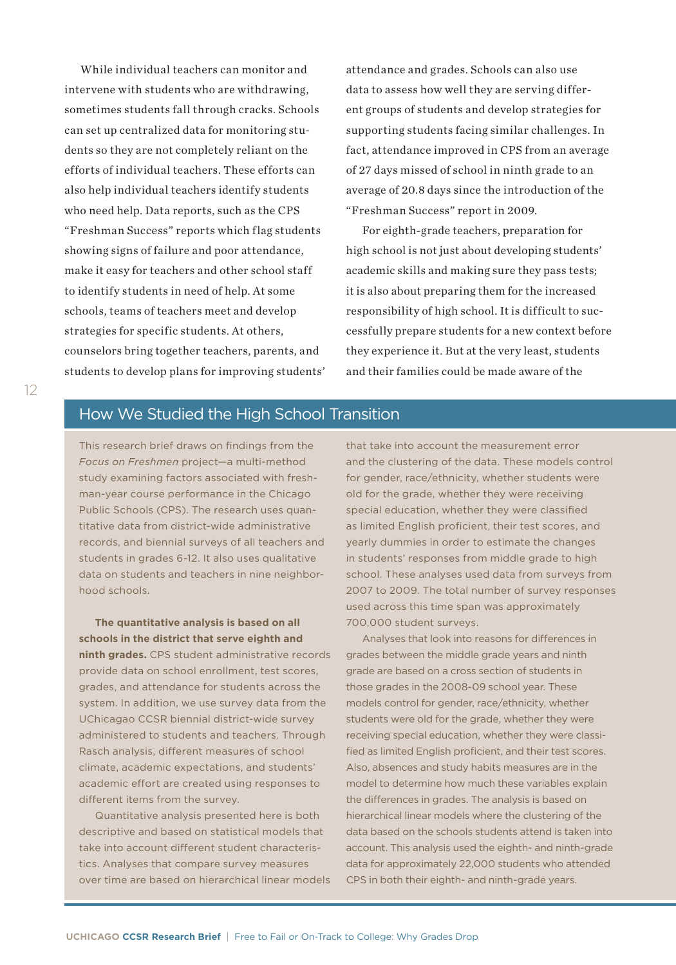While individual teachers can monitor and intervene with students who are withdrawing, sometimes students fall through cracks. Schools can set up centralized data for monitoring students so they are not completely reliant on the efforts of individual teachers. These efforts can also help individual teachers identify students who need help. Data reports, such as the CPS "Freshman Success" reports which flag students showing signs of failure and poor attendance, make it easy for teachers and other school staff to identify students in need of help. At some schools, teams of teachers meet and develop strategies for specific students. At others, counselors bring together teachers, parents, and students to develop plans for improving students'

attendance and grades. Schools can also use data to assess how well they are serving different groups of students and develop strategies for supporting students facing similar challenges. In fact, attendance improved in CPS from an average of 27 days missed of school in ninth grade to an average of 20.8 days since the introduction of the "Freshman Success" report in 2009.

For eighth-grade teachers, preparation for high school is not just about developing students' academic skills and making sure they pass tests; it is also about preparing them for the increased responsibility of high school. It is difficult to successfully prepare students for a new context before they experience it. But at the very least, students and their families could be made aware of the

## How We Studied the High School Transition

This research brief draws on findings from the *Focus on Freshmen* project—a multi-method study examining factors associated with freshman-year course performance in the Chicago Public Schools (CPS). The research uses quantitative data from district-wide administrative records, and biennial surveys of all teachers and students in grades 6-12. It also uses qualitative data on students and teachers in nine neighborhood schools.

**The quantitative analysis is based on all schools in the district that serve eighth and ninth grades.** CPS student administrative records provide data on school enrollment, test scores, grades, and attendance for students across the system. In addition, we use survey data from the UChicagao CCSR biennial district-wide survey administered to students and teachers. Through Rasch analysis, different measures of school climate, academic expectations, and students' academic effort are created using responses to different items from the survey.

Quantitative analysis presented here is both descriptive and based on statistical models that take into account different student characteristics. Analyses that compare survey measures over time are based on hierarchical linear models

that take into account the measurement error and the clustering of the data. These models control for gender, race/ethnicity, whether students were old for the grade, whether they were receiving special education, whether they were classified as limited English proficient, their test scores, and yearly dummies in order to estimate the changes in students' responses from middle grade to high school. These analyses used data from surveys from 2007 to 2009. The total number of survey responses used across this time span was approximately 700,000 student surveys.

Analyses that look into reasons for differences in grades between the middle grade years and ninth grade are based on a cross section of students in those grades in the 2008-09 school year. These models control for gender, race/ethnicity, whether students were old for the grade, whether they were receiving special education, whether they were classified as limited English proficient, and their test scores. Also, absences and study habits measures are in the model to determine how much these variables explain the differences in grades. The analysis is based on hierarchical linear models where the clustering of the data based on the schools students attend is taken into account. This analysis used the eighth- and ninth-grade data for approximately 22,000 students who attended CPS in both their eighth- and ninth-grade years.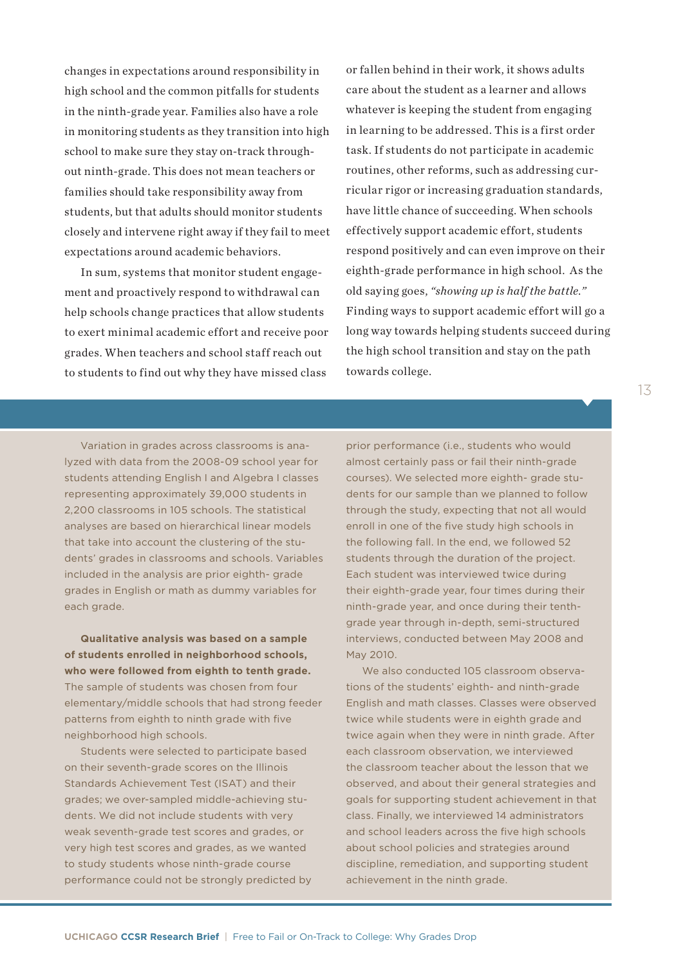changes in expectations around responsibility in high school and the common pitfalls for students in the ninth-grade year. Families also have a role in monitoring students as they transition into high school to make sure they stay on-track throughout ninth-grade. This does not mean teachers or families should take responsibility away from students, but that adults should monitor students closely and intervene right away if they fail to meet expectations around academic behaviors.

In sum, systems that monitor student engagement and proactively respond to withdrawal can help schools change practices that allow students to exert minimal academic effort and receive poor grades. When teachers and school staff reach out to students to find out why they have missed class or fallen behind in their work, it shows adults care about the student as a learner and allows whatever is keeping the student from engaging in learning to be addressed. This is a first order task. If students do not participate in academic routines, other reforms, such as addressing curricular rigor or increasing graduation standards, have little chance of succeeding. When schools effectively support academic effort, students respond positively and can even improve on their eighth-grade performance in high school. As the old saying goes, *"showing up is half the battle."* Finding ways to support academic effort will go a long way towards helping students succeed during the high school transition and stay on the path towards college.

Variation in grades across classrooms is analyzed with data from the 2008-09 school year for students attending English I and Algebra I classes representing approximately 39,000 students in 2,200 classrooms in 105 schools. The statistical analyses are based on hierarchical linear models that take into account the clustering of the students' grades in classrooms and schools. Variables included in the analysis are prior eighth- grade grades in English or math as dummy variables for each grade.

**Qualitative analysis was based on a sample of students enrolled in neighborhood schools, who were followed from eighth to tenth grade.** The sample of students was chosen from four elementary/middle schools that had strong feeder patterns from eighth to ninth grade with five neighborhood high schools.

Students were selected to participate based on their seventh-grade scores on the Illinois Standards Achievement Test (ISAT) and their grades; we over-sampled middle-achieving students. We did not include students with very weak seventh-grade test scores and grades, or very high test scores and grades, as we wanted to study students whose ninth-grade course performance could not be strongly predicted by prior performance (i.e., students who would almost certainly pass or fail their ninth-grade courses). We selected more eighth- grade students for our sample than we planned to follow through the study, expecting that not all would enroll in one of the five study high schools in the following fall. In the end, we followed 52 students through the duration of the project. Each student was interviewed twice during their eighth-grade year, four times during their ninth-grade year, and once during their tenthgrade year through in-depth, semi-structured interviews, conducted between May 2008 and May 2010.

We also conducted 105 classroom observations of the students' eighth- and ninth-grade English and math classes. Classes were observed twice while students were in eighth grade and twice again when they were in ninth grade. After each classroom observation, we interviewed the classroom teacher about the lesson that we observed, and about their general strategies and goals for supporting student achievement in that class. Finally, we interviewed 14 administrators and school leaders across the five high schools about school policies and strategies around discipline, remediation, and supporting student achievement in the ninth grade.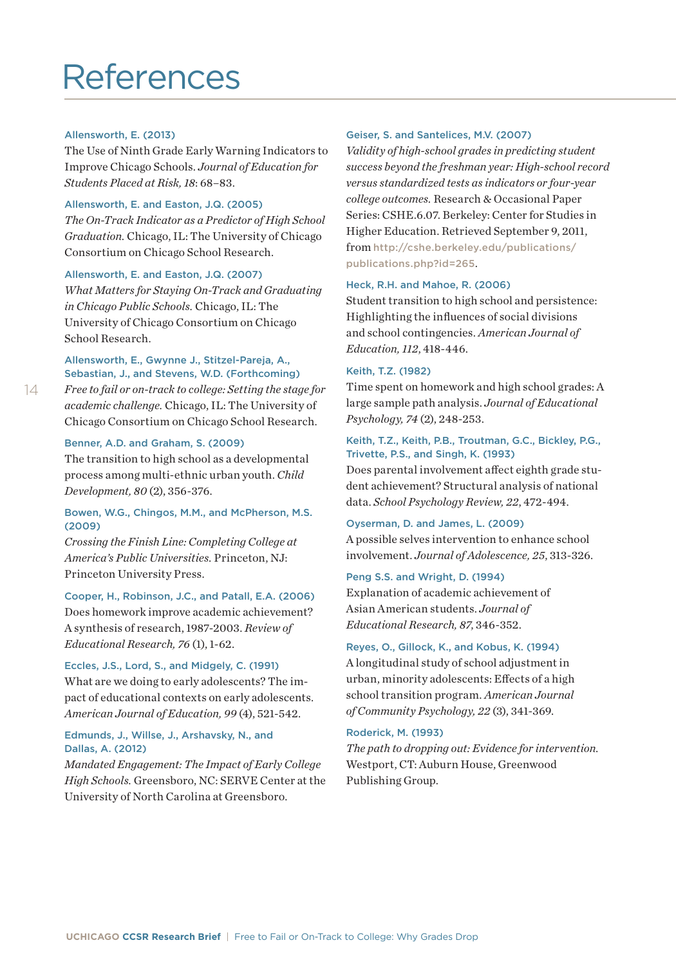# References

#### Allensworth, E. (2013)

The Use of Ninth Grade Early Warning Indicators to Improve Chicago Schools. *Journal of Education for Students Placed at Risk, 18*: 68–83.

#### Allensworth, E. and Easton, J.Q. (2005)

*The On-Track Indicator as a Predictor of High School Graduation.* Chicago, IL: The University of Chicago Consortium on Chicago School Research.

#### Allensworth, E. and Easton, J.Q. (2007)

*What Matters for Staying On-Track and Graduating in Chicago Public Schools.* Chicago, IL: The University of Chicago Consortium on Chicago School Research.

#### Allensworth, E., Gwynne J., Stitzel-Pareja, A., Sebastian, J., and Stevens, W.D. (Forthcoming)

*Free to fail or on-track to college: Setting the stage for academic challenge.* Chicago, IL: The University of Chicago Consortium on Chicago School Research.

#### Benner, A.D. and Graham, S. (2009)

The transition to high school as a developmental process among multi-ethnic urban youth. *Child Development, 80* (2), 356-376.

#### Bowen, W.G., Chingos, M.M., and McPherson, M.S. (2009)

*Crossing the Finish Line: Completing College at America's Public Universities.* Princeton, NJ: Princeton University Press.

#### Cooper, H., Robinson, J.C., and Patall, E.A. (2006)

Does homework improve academic achievement? A synthesis of research, 1987-2003. *Review of Educational Research, 76* (1), 1-62.

#### Eccles, J.S., Lord, S., and Midgely, C. (1991)

What are we doing to early adolescents? The impact of educational contexts on early adolescents. *American Journal of Education, 99* (4), 521-542.

#### Edmunds, J., Willse, J., Arshavsky, N., and Dallas, A. (2012)

*Mandated Engagement: The Impact of Early College High Schools.* Greensboro, NC: SERVE Center at the University of North Carolina at Greensboro.

#### Geiser, S. and Santelices, M.V. (2007)

*Validity of high-school grades in predicting student success beyond the freshman year: High-school record versus standardized tests as indicators or four-year college outcomes.* Research & Occasional Paper Series: CSHE.6.07. Berkeley: Center for Studies in Higher Education. Retrieved September 9, 2011, from [http://cshe.berkeley.edu/publications/](http://cshe.berkeley.edu/publications/publications.php?id=265) [publications.php](http://cshe.berkeley.edu/publications/publications.php?id=265)?id=265.

#### Heck, R.H. and Mahoe, R. (2006)

Student transition to high school and persistence: Highlighting the influences of social divisions and school contingencies. *American Journal of Education, 112*, 418-446.

#### Keith, T.Z. (1982)

Time spent on homework and high school grades: A large sample path analysis. *Journal of Educational Psychology, 74* (2), 248-253.

#### Keith, T.Z., Keith, P.B., Troutman, G.C., Bickley, P.G., Trivette, P.S., and Singh, K. (1993)

Does parental involvement affect eighth grade student achievement? Structural analysis of national data. *School Psychology Review, 22*, 472-494.

#### Oyserman, D. and James, L. (2009)

A possible selves intervention to enhance school involvement. *Journal of Adolescence, 25*, 313-326.

#### Peng S.S. and Wright, D. (1994)

Explanation of academic achievement of Asian American students. *Journal of Educational Research, 87*, 346-352.

#### Reyes, O., Gillock, K., and Kobus, K. (1994)

A longitudinal study of school adjustment in urban, minority adolescents: Effects of a high school transition program. *American Journal of Community Psychology, 22* (3), 341-369.

#### Roderick, M. (1993)

*The path to dropping out: Evidence for intervention.* Westport, CT: Auburn House, Greenwood Publishing Group.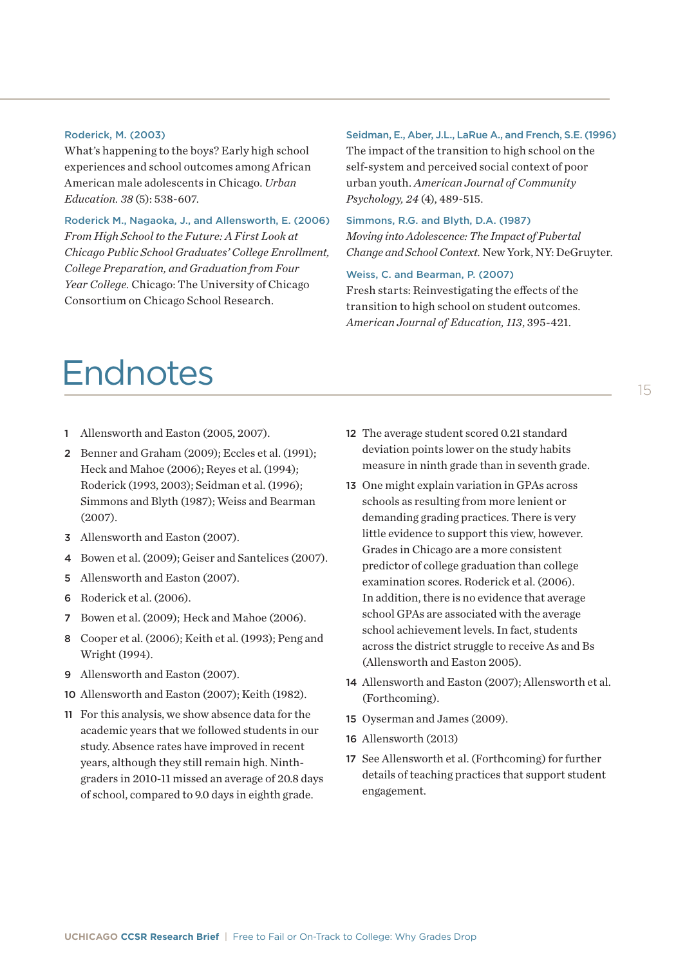#### Roderick, M. (2003)

What's happening to the boys? Early high school experiences and school outcomes among African American male adolescents in Chicago. *Urban Education. 38* (5): 538-607.

Roderick M., Nagaoka, J., and Allensworth, E. (2006) *From High School to the Future: A First Look at Chicago Public School Graduates' College Enrollment, College Preparation, and Graduation from Four Year College.* Chicago: The University of Chicago Consortium on Chicago School Research.

#### Seidman, E., Aber, J.L., LaRue A., and French, S.E. (1996)

The impact of the transition to high school on the self-system and perceived social context of poor urban youth. *American Journal of Community Psychology, 24* (4), 489-515.

#### Simmons, R.G. and Blyth, D.A. (1987) *Moving into Adolescence: The Impact of Pubertal Change and School Context.* New York, NY: DeGruyter.

#### Weiss, C. and Bearman, P. (2007)

Fresh starts: Reinvestigating the effects of the transition to high school on student outcomes. *American Journal of Education, 113*, 395-421.

# Endnotes

- 1 Allensworth and Easton (2005, 2007).
- 2 Benner and Graham (2009); Eccles et al. (1991); Heck and Mahoe (2006); Reyes et al. (1994); Roderick (1993, 2003); Seidman et al. (1996); Simmons and Blyth (1987); Weiss and Bearman (2007).
- 3 Allensworth and Easton (2007).
- 4 Bowen et al. (2009); Geiser and Santelices (2007).
- 5 Allensworth and Easton (2007).
- 6 Roderick et al. (2006).
- 7 Bowen et al. (2009); Heck and Mahoe (2006).
- 8 Cooper et al. (2006); Keith et al. (1993); Peng and Wright (1994).
- 9 Allensworth and Easton (2007).
- 10 Allensworth and Easton (2007); Keith (1982).
- 11 For this analysis, we show absence data for the academic years that we followed students in our study. Absence rates have improved in recent years, although they still remain high. Ninthgraders in 2010-11 missed an average of 20.8 days of school, compared to 9.0 days in eighth grade.
- 12 The average student scored 0.21 standard deviation points lower on the study habits measure in ninth grade than in seventh grade.
- 13 One might explain variation in GPAs across schools as resulting from more lenient or demanding grading practices. There is very little evidence to support this view, however. Grades in Chicago are a more consistent predictor of college graduation than college examination scores. Roderick et al. (2006). In addition, there is no evidence that average school GPAs are associated with the average school achievement levels. In fact, students across the district struggle to receive As and Bs (Allensworth and Easton 2005).
- 14 Allensworth and Easton (2007); Allensworth et al. (Forthcoming).
- 15 Oyserman and James (2009).
- 16 Allensworth (2013)
- 17 See Allensworth et al. (Forthcoming) for further details of teaching practices that support student engagement.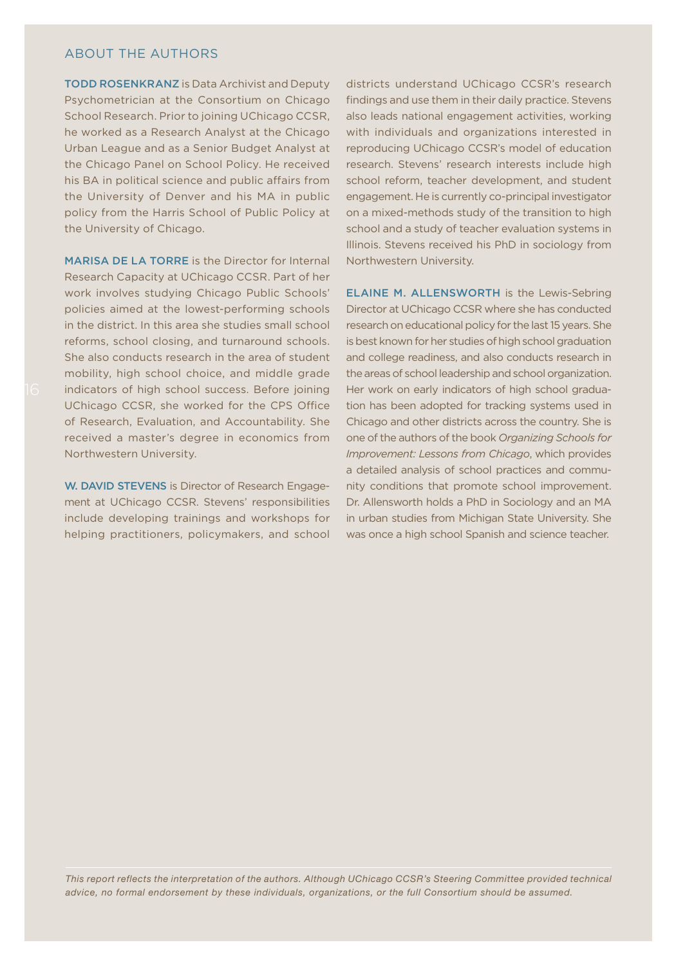#### ABOUT THE AUTHORS

TODD ROSENKRANZ is Data Archivist and Deputy Psychometrician at the Consortium on Chicago School Research. Prior to joining UChicago CCSR, he worked as a Research Analyst at the Chicago Urban League and as a Senior Budget Analyst at the Chicago Panel on School Policy. He received his BA in political science and public affairs from the University of Denver and his MA in public policy from the Harris School of Public Policy at the University of Chicago.

MARISA DE LA TORRE is the Director for Internal Research Capacity at UChicago CCSR. Part of her work involves studying Chicago Public Schools' policies aimed at the lowest-performing schools in the district. In this area she studies small school reforms, school closing, and turnaround schools. She also conducts research in the area of student mobility, high school choice, and middle grade indicators of high school success. Before joining UChicago CCSR, she worked for the CPS Office of Research, Evaluation, and Accountability. She received a master's degree in economics from Northwestern University.

W. DAVID STEVENS is Director of Research Engagement at UChicago CCSR. Stevens' responsibilities include developing trainings and workshops for helping practitioners, policymakers, and school districts understand UChicago CCSR's research findings and use them in their daily practice. Stevens also leads national engagement activities, working with individuals and organizations interested in reproducing UChicago CCSR's model of education research. Stevens' research interests include high school reform, teacher development, and student engagement. He is currently co-principal investigator on a mixed-methods study of the transition to high school and a study of teacher evaluation systems in Illinois. Stevens received his PhD in sociology from Northwestern University.

ELAINE M. ALLENSWORTH is the Lewis-Sebring Director at UChicago CCSR where she has conducted research on educational policy for the last 15 years. She is best known for her studies of high school graduation and college readiness, and also conducts research in the areas of school leadership and school organization. Her work on early indicators of high school graduation has been adopted for tracking systems used in Chicago and other districts across the country. She is one of the authors of the book *Organizing Schools for Improvement: Lessons from Chicago*, which provides a detailed analysis of school practices and community conditions that promote school improvement. Dr. Allensworth holds a PhD in Sociology and an MA in urban studies from Michigan State University. She was once a high school Spanish and science teacher.

*This report reflects the interpretation of the authors. Although UChicago CCSR's Steering Committee provided technical advice, no formal endorsement by these individuals, organizations, or the full Consortium should be assumed.*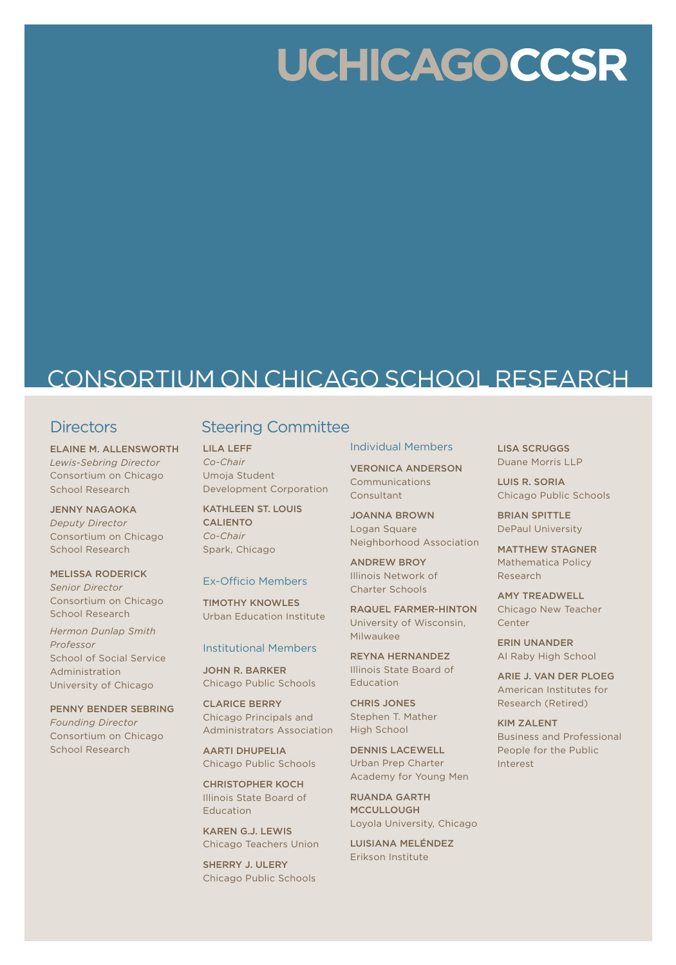# **UCHICAGOCCSR**

# CONSORTIUM ON CHICAGO SCHOOL RESEARCH

## **Directors**

ELAINE M. ALLENSWORTH *Lewis-Sebring Director* Consortium on Chicago School Research

JENNY NAGAOKA *Deputy Director* Consortium on Chicago School Research

MELISSA RODERICK *Senior Director* Consortium on Chicago School Research

*Hermon Dunlap Smith Professor* School of Social Service Administration University of Chicago

PENNY BENDER SEBRING *Founding Director*  Consortium on Chicago School Research

## Steering Committee

LILA LEFF *Co-Chair* Umoja Student Development Corporation

KATHLEEN ST. LOUIS CALIENTO *Co-Chair* Spark, Chicago

#### Ex-Officio Members

TIMOTHY KNOWLES Urban Education Institute

#### Institutional Members

JOHN R. BARKER Chicago Public Schools

CLARICE BERRY Chicago Principals and Administrators Association

AARTI DHUPELIA Chicago Public Schools

CHRISTOPHER KOCH Illinois State Board of Education

KAREN G.J. LEWIS Chicago Teachers Union

SHERRY J. ULERY Chicago Public Schools

#### Individual Members

VERONICA ANDERSON Communications Consultant

JOANNA BROWN Logan Square Neighborhood Association

ANDREW BROY Illinois Network of Charter Schools

RAQUEL FARMER-HINTON University of Wisconsin, Milwaukee

REYNA HERNANDEZ Illinois State Board of Education

CHRIS JONES Stephen T. Mather High School

DENNIS LACEWELL Urban Prep Charter Academy for Young Men

RUANDA GARTH MCCULLOUGH Loyola University, Chicago

LUISIANA MELÉNDEZ Erikson Institute

LISA SCRUGGS Duane Morris LLP

LUIS R. SORIA Chicago Public Schools

BRIAN SPITTLE DePaul University

MATTHEW STAGNER Mathematica Policy Research

AMY TREADWELL Chicago New Teacher Center

ERIN UNANDER Al Raby High School

ARIE J. VAN DER PLOEG American Institutes for Research (Retired)

KIM ZALENT Business and Professional People for the Public Interest